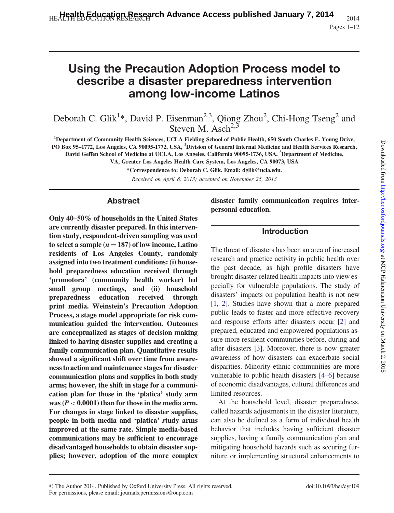# Using the Precaution Adoption Process model to describe a disaster preparedness intervention among low-income Latinos

Deborah C. Glik<sup>1\*</sup>, David P. Eisenman<sup>2,3</sup>, Qiong Zhou<sup>2</sup>, Chi-Hong Tseng<sup>2</sup> and Steven M.  $Asch<sup>2,3</sup>$ 

1 Department of Community Health Sciences, UCLA Fielding School of Public Health, 650 South Charles E. Young Drive, PO Box 95-1772, Los Angeles, CA 90095-1772, USA, <sup>2</sup>Division of General Internal Medicine and Health Services Research, David Geffen School of Medicine at UCLA, Los Angeles, California 90095-1736, USA, <sup>3</sup>Department of Medicine, VA, Greater Los Angeles Health Care System, Los Angeles, CA 90073, USA

\*Correspondence to: Deborah C. Glik. Email: dglik@ucla.edu.

Received on April 8, 2013; accepted on November 25, 2013

#### Abstract

Only 40–50% of households in the United States are currently disaster prepared. In this intervention study, respondent-driven sampling was used to select a sample  $(n = 187)$  of low income, Latino residents of Los Angeles County, randomly assigned into two treatment conditions: (i) household preparedness education received through 'promotora' (community health worker) led small group meetings, and (ii) household preparedness education received through print media. Weinstein's Precaution Adoption Process, a stage model appropriate for risk communication guided the intervention. Outcomes are conceptualized as stages of decision making linked to having disaster supplies and creating a family communication plan. Quantitative results showed a significant shift over time from awareness to action and maintenance stages for disaster communication plans and supplies in both study arms; however, the shift in stage for a communication plan for those in the 'platica' study arm was  $(P < 0.0001)$  than for those in the media arm. For changes in stage linked to disaster supplies, people in both media and 'platica' study arms improved at the same rate. Simple media-based communications may be sufficient to encourage disadvantaged households to obtain disaster supplies; however, adoption of the more complex disaster family communication requires interpersonal education.

# Introduction

The threat of disasters has been an area of increased research and practice activity in public health over the past decade, as high profile disasters have brought disaster-related health impacts into view especially for vulnerable populations. The study of disasters' impacts on population health is not new [\[1](#page-10-0), [2\]](#page-10-0). Studies have shown that a more prepared public leads to faster and more effective recovery and response efforts after disasters occur [[2](#page-10-0)] and prepared, educated and empowered populations assure more resilient communities before, during and after disasters [\[3\]](#page-10-0). Moreover, there is now greater awareness of how disasters can exacerbate social disparities. Minority ethnic communities are more vulnerable to public health disasters [\[4–6\]](#page-10-0) because of economic disadvantages, cultural differences and limited resources.

At the household level, disaster preparedness, called hazards adjustments in the disaster literature, can also be defined as a form of individual health behavior that includes having sufficient disaster supplies, having a family communication plan and mitigating household hazards such as securing furniture or implementing structural enhancements to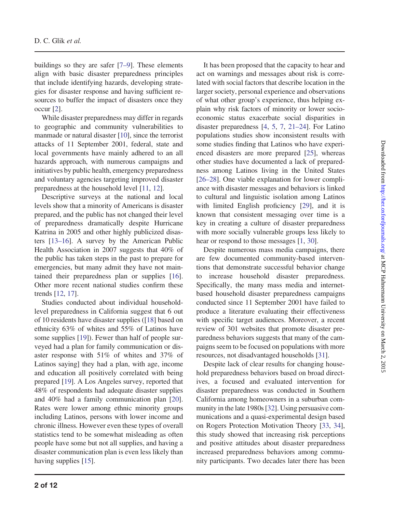buildings so they are safer [[7–9](#page-10-0)]. These elements align with basic disaster preparedness principles that include identifying hazards, developing strategies for disaster response and having sufficient resources to buffer the impact of disasters once they occur [[2](#page-10-0)].

While disaster preparedness may differ in regards to geographic and community vulnerabilities to manmade or natural disaster [\[10](#page-10-0)], since the terrorist attacks of 11 September 2001, federal, state and local governments have mainly adhered to an all hazards approach, with numerous campaigns and initiatives by public health, emergency preparedness and voluntary agencies targeting improved disaster preparedness at the household level [\[11,](#page-10-0) [12\]](#page-10-0).

Descriptive surveys at the national and local levels show that a minority of Americans is disaster prepared, and the public has not changed their level of preparedness dramatically despite Hurricane Katrina in 2005 and other highly publicized disasters [\[13–16\]](#page-10-0). A survey by the American Public Health Association in 2007 suggests that 40% of the public has taken steps in the past to prepare for emergencies, but many admit they have not maintained their preparedness plan or supplies [[16](#page-10-0)]. Other more recent national studies confirm these trends [[12](#page-10-0), [17](#page-10-0)].

Studies conducted about individual householdlevel preparedness in California suggest that 6 out of 10 residents have disaster supplies ([\[18](#page-10-0)] based on ethnicity 63% of whites and 55% of Latinos have some supplies [\[19\]](#page-10-0)). Fewer than half of people surveyed had a plan for family communication or disaster response with 51% of whites and 37% of Latinos saying] they had a plan, with age, income and education all positively correlated with being prepared [\[19\]](#page-10-0). A Los Angeles survey, reported that 48% of respondents had adequate disaster supplies and 40% had a family communication plan [[20](#page-11-0)]. Rates were lower among ethnic minority groups including Latinos, persons with lower income and chronic illness. However even these types of overall statistics tend to be somewhat misleading as often people have some but not all supplies, and having a disaster communication plan is even less likely than having supplies [\[15\]](#page-10-0).

It has been proposed that the capacity to hear and act on warnings and messages about risk is correlated with social factors that describe location in the larger society, personal experience and observations of what other group's experience, thus helping explain why risk factors of minority or lower socioeconomic status exacerbate social disparities in disaster preparedness [[4,](#page-10-0) [5,](#page-10-0) [7,](#page-10-0) [21–24\]](#page-11-0). For Latino populations studies show inconsistent results with some studies finding that Latinos who have experienced disasters are more prepared [\[25\]](#page-11-0), whereas other studies have documented a lack of preparedness among Latinos living in the United States [\[26–28\]](#page-11-0). One viable explanation for lower compliance with disaster messages and behaviors is linked to cultural and linguistic isolation among Latinos with limited English proficiency [\[29\]](#page-11-0), and it is known that consistent messaging over time is a key in creating a culture of disaster preparedness with more socially vulnerable groups less likely to hear or respond to those messages [[1,](#page-10-0) [30\]](#page-11-0).

Despite numerous mass media campaigns, there are few documented community-based interventions that demonstrate successful behavior change to increase household disaster preparedness. Specifically, the many mass media and internetbased household disaster preparedness campaigns conducted since 11 September 2001 have failed to produce a literature evaluating their effectiveness with specific target audiences. Moreover, a recent review of 301 websites that promote disaster preparedness behaviors suggests that many of the campaigns seem to be focused on populations with more resources, not disadvantaged households [[31](#page-11-0)].

Despite lack of clear results for changing household preparedness behaviors based on broad directives, a focused and evaluated intervention for disaster preparedness was conducted in Southern California among homeowners in a suburban community in the late 1980s [[32\]](#page-11-0). Using persuasive communications and a quasi-experimental design based on Rogers Protection Motivation Theory [[33,](#page-11-0) [34\]](#page-11-0), this study showed that increasing risk perceptions and positive attitudes about disaster preparedness increased preparedness behaviors among community participants. Two decades later there has been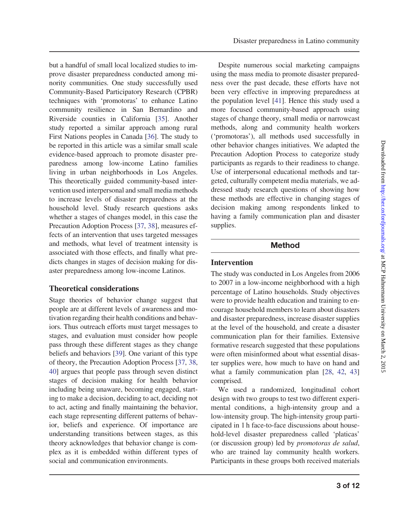but a handful of small local localized studies to improve disaster preparedness conducted among minority communities. One study successfully used Community-Based Participatory Research (CPBR) techniques with 'promotoras' to enhance Latino community resilience in San Bernardino and Riverside counties in California [[35](#page-11-0)]. Another study reported a similar approach among rural First Nations peoples in Canada [\[36](#page-11-0)]. The study to be reported in this article was a similar small scale evidence-based approach to promote disaster preparedness among low-income Latino families living in urban neighborhoods in Los Angeles. This theoretically guided community-based intervention used interpersonal and small media methods to increase levels of disaster preparedness at the household level. Study research questions asks whether a stages of changes model, in this case the Precaution Adoption Process [\[37](#page-11-0), [38\]](#page-11-0), measures effects of an intervention that uses targeted messages and methods, what level of treatment intensity is associated with those effects, and finally what predicts changes in stages of decision making for disaster preparedness among low-income Latinos.

#### Theoretical considerations

Stage theories of behavior change suggest that people are at different levels of awareness and motivation regarding their health conditions and behaviors. Thus outreach efforts must target messages to stages, and evaluation must consider how people pass through these different stages as they change beliefs and behaviors [[39](#page-11-0)]. One variant of this type of theory, the Precaution Adoption Process [[37,](#page-11-0) [38,](#page-11-0) [40\]](#page-11-0) argues that people pass through seven distinct stages of decision making for health behavior including being unaware, becoming engaged, starting to make a decision, deciding to act, deciding not to act, acting and finally maintaining the behavior, each stage representing different patterns of behavior, beliefs and experience. Of importance are understanding transitions between stages, as this theory acknowledges that behavior change is complex as it is embedded within different types of social and communication environments.

Disaster preparedness in Latino community

Despite numerous social marketing campaigns using the mass media to promote disaster preparedness over the past decade, these efforts have not been very effective in improving preparedness at the population level [[41](#page-11-0)]. Hence this study used a more focused community-based approach using stages of change theory, small media or narrowcast methods, along and community health workers ('promotoras'), all methods used successfully in other behavior changes initiatives. We adapted the Precaution Adoption Process to categorize study participants as regards to their readiness to change. Use of interpersonal educational methods and targeted, culturally competent media materials, we addressed study research questions of showing how these methods are effective in changing stages of decision making among respondents linked to having a family communication plan and disaster supplies.

#### Method

#### Intervention

The study was conducted in Los Angeles from 2006 to 2007 in a low-income neighborhood with a high percentage of Latino households. Study objectives were to provide health education and training to encourage household members to learn about disasters and disaster preparedness, increase disaster supplies at the level of the household, and create a disaster communication plan for their families. Extensive formative research suggested that these populations were often misinformed about what essential disaster supplies were, how much to have on hand and what a family communication plan [[28,](#page-11-0) [42,](#page-11-0) [43\]](#page-11-0) comprised.

We used a randomized, longitudinal cohort design with two groups to test two different experimental conditions, a high-intensity group and a low-intensity group. The high-intensity group participated in 1 h face-to-face discussions about household-level disaster preparedness called 'platicas' (or discussion group) led by promotoras de salud, who are trained lay community health workers. Participants in these groups both received materials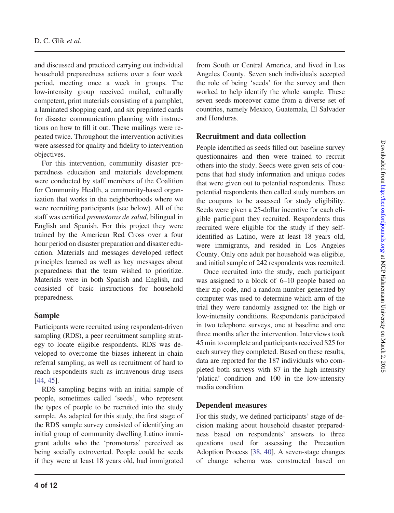and discussed and practiced carrying out individual household preparedness actions over a four week period, meeting once a week in groups. The low-intensity group received mailed, culturally competent, print materials consisting of a pamphlet, a laminated shopping card, and six preprinted cards for disaster communication planning with instructions on how to fill it out. These mailings were repeated twice. Throughout the intervention activities were assessed for quality and fidelity to intervention objectives.

For this intervention, community disaster preparedness education and materials development were conducted by staff members of the Coalition for Community Health, a community-based organization that works in the neighborhoods where we were recruiting participants (see below). All of the staff was certified promotoras de salud, bilingual in English and Spanish. For this project they were trained by the American Red Cross over a four hour period on disaster preparation and disaster education. Materials and messages developed reflect principles learned as well as key messages about preparedness that the team wished to prioritize. Materials were in both Spanish and English, and consisted of basic instructions for household preparedness.

# Sample

Participants were recruited using respondent-driven sampling (RDS), a peer recruitment sampling strategy to locate eligible respondents. RDS was developed to overcome the biases inherent in chain referral sampling, as well as recruitment of hard to reach respondents such as intravenous drug users [\[44,](#page-11-0) [45\]](#page-11-0).

RDS sampling begins with an initial sample of people, sometimes called 'seeds', who represent the types of people to be recruited into the study sample. As adapted for this study, the first stage of the RDS sample survey consisted of identifying an initial group of community dwelling Latino immigrant adults who the 'promotoras' perceived as being socially extroverted. People could be seeds if they were at least 18 years old, had immigrated from South or Central America, and lived in Los Angeles County. Seven such individuals accepted the role of being 'seeds' for the survey and then worked to help identify the whole sample. These seven seeds moreover came from a diverse set of countries, namely Mexico, Guatemala, El Salvador and Honduras.

# Recruitment and data collection

People identified as seeds filled out baseline survey questionnaires and then were trained to recruit others into the study. Seeds were given sets of coupons that had study information and unique codes that were given out to potential respondents. These potential respondents then called study numbers on the coupons to be assessed for study eligibility. Seeds were given a 25-dollar incentive for each eligible participant they recruited. Respondents thus recruited were eligible for the study if they selfidentified as Latino, were at least 18 years old, were immigrants, and resided in Los Angeles County. Only one adult per household was eligible, and initial sample of 242 respondents was recruited.

Once recruited into the study, each participant was assigned to a block of 6–10 people based on their zip code, and a random number generated by computer was used to determine which arm of the trial they were randomly assigned to: the high or low-intensity conditions. Respondents participated in two telephone surveys, one at baseline and one three months after the intervention. Interviews took 45 min to complete and participants received \$25 for each survey they completed. Based on these results, data are reported for the 187 individuals who completed both surveys with 87 in the high intensity 'platica' condition and 100 in the low-intensity media condition.

# Dependent measures

For this study, we defined participants' stage of decision making about household disaster preparedness based on respondents' answers to three questions used for assessing the Precaution Adoption Process [[38](#page-11-0), [40](#page-11-0)]. A seven-stage changes of change schema was constructed based on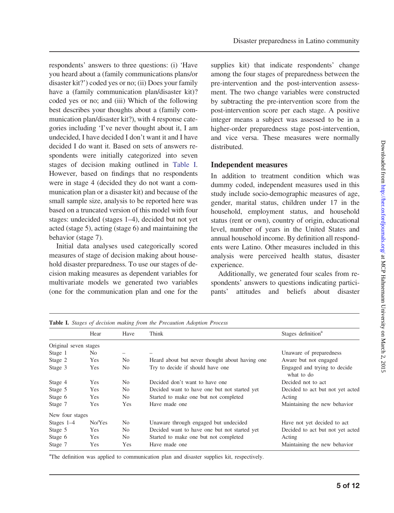respondents' answers to three questions: (i) 'Have you heard about a (family communications plans/or disaster kit?') coded yes or no; (ii) Does your family have a (family communication plan/disaster kit)? coded yes or no; and (iii) Which of the following best describes your thoughts about a (family communication plan/disaster kit?), with 4 response categories including 'I've never thought about it, I am undecided, I have decided I don't want it and I have decided I do want it. Based on sets of answers respondents were initially categorized into seven stages of decision making outlined in Table I. However, based on findings that no respondents were in stage 4 (decided they do not want a communication plan or a disaster kit) and because of the small sample size, analysis to be reported here was based on a truncated version of this model with four stages: undecided (stages 1–4), decided but not yet acted (stage 5), acting (stage 6) and maintaining the behavior (stage 7).

Initial data analyses used categorically scored measures of stage of decision making about household disaster preparedness. To use our stages of decision making measures as dependent variables for multivariate models we generated two variables (one for the communication plan and one for the supplies kit) that indicate respondents' change among the four stages of preparedness between the pre-intervention and the post-intervention assessment. The two change variables were constructed by subtracting the pre-intervention score from the post-intervention score per each stage. A positive integer means a subject was assessed to be in a higher-order preparedness stage post-intervention, and vice versa. These measures were normally distributed.

# Independent measures

In addition to treatment condition which was dummy coded, independent measures used in this study include socio-demographic measures of age, gender, marital status, children under 17 in the household, employment status, and household status (rent or own), country of origin, educational level, number of years in the United States and annual household income. By definition all respondents were Latino. Other measures included in this analysis were perceived health status, disaster experience.

Additionally, we generated four scales from respondents' answers to questions indicating participants' attitudes and beliefs about disaster

|                       | Hear       | Have | Think                                          | Stages definition <sup>a</sup>             |
|-----------------------|------------|------|------------------------------------------------|--------------------------------------------|
| Original seven stages |            |      |                                                |                                            |
| Stage 1               | No.        |      |                                                | Unaware of preparedness                    |
| Stage 2               | Yes        | No.  | Heard about but never thought about having one | Aware but not engaged                      |
| Stage 3               | Yes        | No.  | Try to decide if should have one               | Engaged and trying to decide<br>what to do |
| Stage 4               | <b>Yes</b> | No.  | Decided don't want to have one                 | Decided not to act                         |
| Stage 5               | Yes        | No.  | Decided want to have one but not started yet   | Decided to act but not yet acted           |
| Stage 6               | Yes        | No.  | Started to make one but not completed          | Acting                                     |
| Stage 7               | Yes        | Yes  | Have made one                                  | Maintaining the new behavior               |
| New four stages       |            |      |                                                |                                            |
| Stages $1-4$          | No/Yes     | No.  | Unaware through engaged but undecided          | Have not yet decided to act                |
| Stage 5               | Yes        | No.  | Decided want to have one but not started yet   | Decided to act but not yet acted           |
| Stage 6               | Yes        | No.  | Started to make one but not completed          | Acting                                     |
| Stage 7               | Yes        | Yes  | Have made one                                  | Maintaining the new behavior               |

Table I. Stages of decision making from the Precaution Adoption Process

<sup>a</sup>The definition was applied to communication plan and disaster supplies kit, respectively.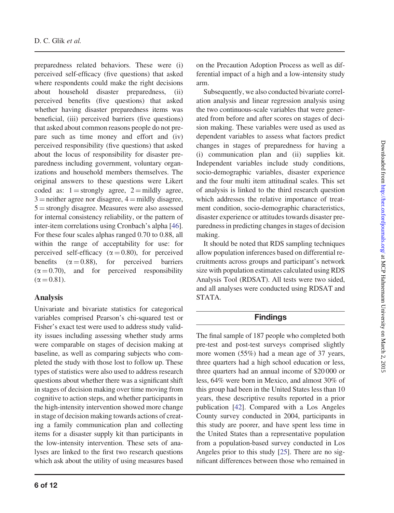preparedness related behaviors. These were (i) perceived self-efficacy (five questions) that asked where respondents could make the right decisions about household disaster preparedness, (ii) perceived benefits (five questions) that asked whether having disaster preparedness items was beneficial, (iii) perceived barriers (five questions) that asked about common reasons people do not prepare such as time money and effort and (iv) perceived responsibility (five questions) that asked about the locus of responsibility for disaster preparedness including government, voluntary organizations and household members themselves. The original answers to these questions were Likert coded as:  $1 =$  strongly agree,  $2 =$  mildly agree,  $3$  = neither agree nor disagree,  $4$  = mildly disagree,  $5 =$ strongly disagree. Measures were also assessed for internal consistency reliability, or the pattern of inter-item correlations using Cronbach's alpha [[46](#page-11-0)]. For these four scales alphas ranged 0.70 to 0.88, all within the range of acceptability for use: for perceived self-efficacy ( $\alpha = 0.80$ ), for perceived benefits  $(\alpha = 0.88)$ , for perceived barriers  $(\alpha = 0.70)$ , and for perceived responsibility  $(\alpha = 0.81)$ .

# Analysis

Univariate and bivariate statistics for categorical variables comprised Pearson's chi-squared test or Fisher's exact test were used to address study validity issues including assessing whether study arms were comparable on stages of decision making at baseline, as well as comparing subjects who completed the study with those lost to follow up. These types of statistics were also used to address research questions about whether there was a significant shift in stages of decision making over time moving from cognitive to action steps, and whether participants in the high-intensity intervention showed more change in stage of decision making towards actions of creating a family communication plan and collecting items for a disaster supply kit than participants in the low-intensity intervention. These sets of analyses are linked to the first two research questions which ask about the utility of using measures based on the Precaution Adoption Process as well as differential impact of a high and a low-intensity study arm.

Subsequently, we also conducted bivariate correlation analysis and linear regression analysis using the two continuous-scale variables that were generated from before and after scores on stages of decision making. These variables were used as used as dependent variables to assess what factors predict changes in stages of preparedness for having a (i) communication plan and (ii) supplies kit. Independent variables include study conditions, socio-demographic variables, disaster experience and the four multi item attitudinal scales. This set of analysis is linked to the third research question which addresses the relative importance of treatment condition, socio-demographic characteristics, disaster experience or attitudes towards disaster preparedness in predicting changes in stages of decision making.

It should be noted that RDS sampling techniques allow population inferences based on differential recruitments across groups and participant's network size with population estimates calculated using RDS Analysis Tool (RDSAT). All tests were two sided, and all analyses were conducted using RDSAT and STATA.

# Findings

The final sample of 187 people who completed both pre-test and post-test surveys comprised slightly more women (55%) had a mean age of 37 years, three quarters had a high school education or less, three quarters had an annual income of \$20 000 or less, 64% were born in Mexico, and almost 30% of this group had been in the United States less than 10 years, these descriptive results reported in a prior publication [\[42\]](#page-11-0). Compared with a Los Angeles County survey conducted in 2004, participants in this study are poorer, and have spent less time in the United States than a representative population from a population-based survey conducted in Los Angeles prior to this study [\[25\]](#page-11-0). There are no significant differences between those who remained in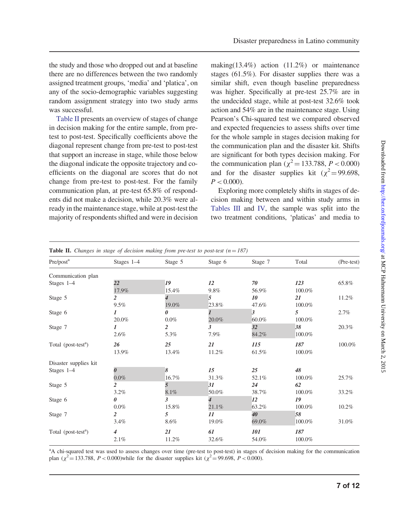the study and those who dropped out and at baseline there are no differences between the two randomly assigned treatment groups, 'media' and 'platica', on any of the socio-demographic variables suggesting random assignment strategy into two study arms was successful.

Table II presents an overview of stages of change in decision making for the entire sample, from pretest to post-test. Specifically coefficients above the diagonal represent change from pre-test to post-test that support an increase in stage, while those below the diagonal indicate the opposite trajectory and coefficients on the diagonal are scores that do not change from pre-test to post-test. For the family communication plan, at pre-test 65.8% of respondents did not make a decision, while 20.3% were already in the maintenance stage, while at post-test the majority of respondents shifted and were in decision making(13.4%) action (11.2%) or maintenance stages (61.5%). For disaster supplies there was a similar shift, even though baseline preparedness was higher. Specifically at pre-test 25.7% are in the undecided stage, while at post-test 32.6% took action and 54% are in the maintenance stage. Using Pearson's Chi-squared test we compared observed and expected frequencies to assess shifts over time for the whole sample in stages decision making for the communication plan and the disaster kit. Shifts are significant for both types decision making. For the communication plan ( $\chi^2$  = 133.788, *P* < 0.000) and for the disaster supplies kit ( $\chi^2$  = 99.698,  $P < 0.000$ ).

Exploring more completely shifts in stages of decision making between and within study arms in [Tables III](#page-7-0) and [IV,](#page-7-0) the sample was split into the two treatment conditions, 'platicas' and media to

| <b>Table II.</b> Changes in stage of decision making from pre-test to post-test $(n=187)$ |                                  |                                  |                                   |                       |               |              |  |
|-------------------------------------------------------------------------------------------|----------------------------------|----------------------------------|-----------------------------------|-----------------------|---------------|--------------|--|
| Pre/post <sup>a</sup>                                                                     | Stages 1-4                       | Stage 5                          | Stage 6                           | Stage 7               | Total         | $(Pre-test)$ |  |
| Communication plan                                                                        |                                  |                                  |                                   |                       |               |              |  |
| Stages 1-4                                                                                | 22<br>17.9%                      | 19<br>15.4%                      | 12<br>9.8%                        | 70<br>56.9%           | 123<br>100.0% | 65.8%        |  |
| Stage 5                                                                                   | $\overline{c}$<br>9.5%           | $\overline{\mathbf{4}}$<br>19.0% | 5<br>23.8%                        | 10<br>47.6%           | 21<br>100.0%  | 11.2%        |  |
| Stage 6                                                                                   | 1<br>20.0%                       | 0<br>$0.0\%$                     | $\mathbf{I}$<br>20.0%             | $\mathbf{3}$<br>60.0% | 5<br>100.0%   | 2.7%         |  |
| Stage 7                                                                                   | 1<br>2.6%                        | $\overline{2}$<br>5.3%           | 3<br>7.9%                         | 32<br>84.2%           | 38<br>100.0%  | 20.3%        |  |
| Total (post-test <sup>a</sup> )                                                           | 26<br>13.9%                      | 25<br>13.4%                      | 21<br>11.2%                       | 115<br>61.5%          | 187<br>100.0% | 100.0%       |  |
| Disaster supplies kit                                                                     |                                  |                                  |                                   |                       |               |              |  |
| Stages 1-4                                                                                | $\boldsymbol{\theta}$<br>$0.0\%$ | 8<br>16.7%                       | 15<br>31.3%                       | 25<br>52.1%           | 48<br>100.0%  | 25.7%        |  |
| Stage 5                                                                                   | $\overline{\mathbf{c}}$<br>3.2%  | 5<br>8.1%                        | 31<br>50.0%                       | 24<br>38.7%           | 62<br>100.0%  | 33.2%        |  |
| Stage 6                                                                                   | 0<br>$0.0\%$                     | 3<br>15.8%                       | $\overline{\mathcal{A}}$<br>21.1% | 12<br>63.2%           | 19<br>100.0%  | 10.2%        |  |
| Stage 7                                                                                   | 2<br>3.4%                        | 5<br>8.6%                        | 11<br>19.0%                       | 40<br>69.0%           | 58<br>100.0%  | 31.0%        |  |
| Total (post-test <sup>a</sup> )                                                           | $\boldsymbol{4}$<br>2.1%         | 21<br>11.2%                      | 61<br>32.6%                       | 101<br>54.0%          | 187<br>100.0% |              |  |

<sup>a</sup>A chi-squared test was used to assess changes over time (pre-test to post-test) in stages of decision making for the communication plan ( $\chi^2 = 133.788$ ,  $P < 0.000$ )while for the disaster supplies kit ( $\chi^2 = 99.698$ ,  $P < 0.000$ ).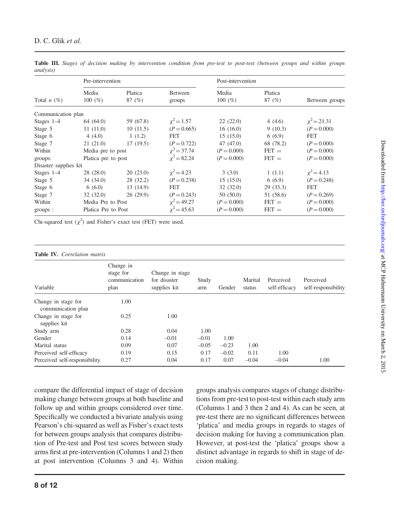|                       | Pre-intervention     |                  |                   | Post-intervention    |                  |                  |  |
|-----------------------|----------------------|------------------|-------------------|----------------------|------------------|------------------|--|
| Total $n(\%)$         | Media<br>100 $(\% )$ | Platica<br>87(%) | Between<br>groups | Media<br>100 $(\% )$ | Platica<br>87(%) | Between groups   |  |
| Communication plan    |                      |                  |                   |                      |                  |                  |  |
| Stages $1-4$          | 64(64.0)             | 59 (67.8)        | $\chi^2 = 1.57$   | 22(22.0)             | 4(4.6)           | $\chi^2$ = 21.31 |  |
| Stage 5               | 11(11.0)             | 10(11.5)         | $(P = 0.665)$     | 16(16.0)             | 9(10.3)          | $(P = 0.000)$    |  |
| Stage 6               | 4(4.0)               | 1(1.2)           | FET               | 15(15.0)             | 6(6.9)           | <b>FET</b>       |  |
| Stage 7               | 21(21.0)             | 17(19.5)         | $(P = 0.722)$     | 47 (47.0)            | 68 (78.2)        | $(P = 0.000)$    |  |
| Within                | Media pre to post    |                  | $\chi^2$ = 37.74  | $(P = 0.000)$        | $FET =$          | $(P = 0.000)$    |  |
| groups:               | Platica pre to post  |                  | $x^2 = 82.24$     | $(P = 0.000)$        | $FET =$          | $(P = 0.000)$    |  |
| Disaster supplies kit |                      |                  |                   |                      |                  |                  |  |
| Stages $1-4$          | 28 (28.0)            | 20(23.0)         | $\chi^2$ = 4.23   | 3(3.0)               | 1(1.1)           | $\chi^2$ = 4.13  |  |
| Stage 5               | 34 (34.0)            | 28(32.2)         | $(P = 0.238)$     | 15(15.0)             | 6(6.9)           | $(P = 0.248)$    |  |
| Stage 6               | 6(6.0)               | 13 (14.9)        | FET               | 32(32.0)             | 29(33.3)         | <b>FET</b>       |  |
| Stage 7               | 32(32.0)             | 26(29.9)         | $(P = 0.243)$     | 50(50.0)             | 51 (58.6)        | $(P=0.269)$      |  |
| Within                | Media Pre to Post    |                  | $\chi^2$ = 49.27  | $(P = 0.000)$        | $FET =$          | $(P = 0.000)$    |  |
| groups :              | Platica Pre to Post  |                  | $\chi^2$ = 45.63  | $(P = 0.000)$        | $FET =$          | $(P = 0.000)$    |  |

<span id="page-7-0"></span>Table III. Stages of decision making by intervention condition from pre-test to post-test (between groups and within groups analysis)

Chi-squared test  $(\chi^2)$  and Fisher's exact test (FET) were used.

|  | <b>Table IV.</b> Correlation matrix |  |
|--|-------------------------------------|--|
|  |                                     |  |

| Variable                                  | Change in<br>stage for<br>communication<br>plan | Change in stage<br>for disaster<br>supplies kit | Study<br>arm | Gender  | Marital<br>status | Perceived<br>self-efficacy | Perceived<br>self-responsibility |
|-------------------------------------------|-------------------------------------------------|-------------------------------------------------|--------------|---------|-------------------|----------------------------|----------------------------------|
| Change in stage for<br>communication plan | 1.00                                            |                                                 |              |         |                   |                            |                                  |
| Change in stage for<br>supplies kit       | 0.25                                            | 1.00                                            |              |         |                   |                            |                                  |
| Study arm                                 | 0.28                                            | 0.04                                            | 1.00         |         |                   |                            |                                  |
| Gender                                    | 0.14                                            | $-0.01$                                         | $-0.01$      | 1.00    |                   |                            |                                  |
| Marital status                            | 0.09                                            | 0.07                                            | $-0.05$      | $-0.23$ | 1.00              |                            |                                  |
| Perceived self-efficacy                   | 0.19                                            | 0.15                                            | 0.17         | $-0.02$ | 0.11              | 1.00                       |                                  |
| Perceived self-responsibility             | 0.27                                            | 0.04                                            | 0.17         | 0.07    | $-0.04$           | $-0.04$                    | 1.00                             |

compare the differential impact of stage of decision making change between groups at both baseline and follow up and within groups considered over time. Specifically we conducted a bivariate analysis using Pearson's chi-squared as well as Fisher's exact tests for between groups analysis that compares distribution of Pre-test and Post test scores between study arms first at pre-intervention (Columns 1 and 2) then at post intervention (Columns 3 and 4). Within

groups analysis compares stages of change distributions from pre-test to post-test within each study arm (Columns 1 and 3 then 2 and 4). As can be seen, at pre-test there are no significant differences between 'platica' and media groups in regards to stages of decision making for having a communication plan. However, at post-test the 'platica' groups show a distinct advantage in regards to shift in stage of decision making.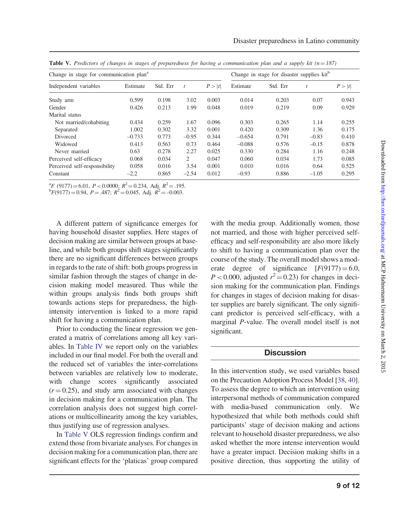| Disaster preparedness in Latino community |  |  |  |
|-------------------------------------------|--|--|--|
|-------------------------------------------|--|--|--|

Change in stage for communication plan<sup>a</sup> Change in stage for disaster supplies kit<sup>b</sup> Independent variables Estimate Std. Err  $t$   $P > |t|$  Estimate Std. Err  $t$   $P > |t|$ Study arm 0.599 0.198 3.02 0.003 0.014 0.203 0.07 0.943 Gender 0.426 0.213 1.99 0.048 0.019 0.219 0.09 0.929 Marital status Not married/cohabiting 0.434 0.259 1.67 0.096 0.303 0.265 1.14 0.255 Separated 1.002 0.302 3.32 0.001 0.420 0.309 1.36 0.175 Divorced –0.733 0.773 –0.95 0.344 –0.654 0.791 –0.83 0.410 Widowed 0.413 0.563 0.73 0.464 –0.088 0.576 –0.15 0.878 Never married 0.63 0.278 2.27 0.025 0.330 0.284 1.16 0.248 Perceived self-efficacy 0.068 0.034 2 0.047 0.060 0.034 1.73 0.085 Perceived self-responsibility 0.058 0.016 3.54 0.001 0.010 0.016 0.64 0.525 Constant –2.2 0.865 –2.54 0.012 –0.93 0.886 –1.05 0.295

Table V. Predictors of changes in stages of preparedness for having a communication plan and a supply kit ( $n=187$ )

<sup>a</sup>F (9177) = 6.01, P < 0.0000; R<sup>2</sup> = 0.234, Adj. R<sup>2</sup> = .195.<br><sup>b</sup>F(9177) - 0.94, P - 487; R<sup>2</sup> - 0.045, Adj. R<sup>2</sup> - -0.003

 $F(9177) = 0.94$ ,  $P = .487$ ;  $R^2 = 0.045$ , Adj.  $R^2 = -0.003$ .

A different pattern of significance emerges for having household disaster supplies. Here stages of decision making are similar between groups at baseline, and while both groups shift stages significantly there are no significant differences between groups in regards to the rate of shift: both groups progress in similar fashion through the stages of change in decision making model measured. Thus while the within groups analysis finds both groups shift towards actions steps for preparedness, the highintensity intervention is linked to a more rapid shift for having a communication plan.

Prior to conducting the linear regression we generated a matrix of correlations among all key variables. In [Table IV](#page-7-0) we report only on the variables included in our final model. For both the overall and the reduced set of variables the inter-correlations between variables are relatively low to moderate, with change scores significantly associated  $(r = 0.25)$ , and study arm associated with changes in decision making for a communication plan. The correlation analysis does not suggest high correlations or multicollinearity among the key variables, thus justifying use of regression analyses.

In Table V OLS regression findings confirm and extend those from bivariate analyses. For changes in decision making for a communication plan, there are significant effects for the 'platicas' group compared with the media group. Additionally women, those not married, and those with higher perceived selfefficacy and self-responsibility are also more likely to shift to having a communication plan over the course of the study. The overall model shows a moderate degree of significance  $[F(9177) = 6.0,$  $P < 0.000$ , adjusted  $r^2 = 0.23$ ) for changes in decision making for the communication plan. Findings for changes in stages of decision making for disaster supplies are barely significant. The only significant predictor is perceived self-efficacy, with a marginal P-value. The overall model itself is not significant.

#### **Discussion**

In this intervention study, we used variables based on the Precaution Adoption Process Model [\[38](#page-11-0), [40](#page-11-0)]. To assess the degree to which an intervention using interpersonal methods of communication compared with media-based communication only. We hypothesized that while both methods could shift participants' stage of decision making and actions relevant to household disaster preparedness, we also asked whether the more intense intervention would have a greater impact. Decision making shifts in a positive direction, thus supporting the utility of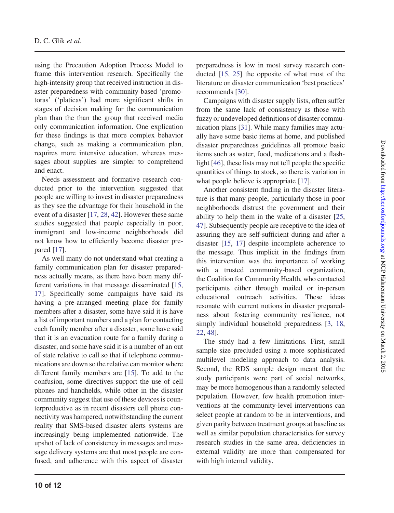using the Precaution Adoption Process Model to frame this intervention research. Specifically the high-intensity group that received instruction in disaster preparedness with community-based 'promotoras' ('platicas') had more significant shifts in stages of decision making for the communication plan than the than the group that received media only communication information. One explication for these findings is that more complex behavior change, such as making a communication plan, requires more intensive education, whereas messages about supplies are simpler to comprehend and enact.

Needs assessment and formative research conducted prior to the intervention suggested that people are willing to invest in disaster preparedness as they see the advantage for their household in the event of a disaster [\[17,](#page-10-0) [28](#page-11-0), [42\]](#page-11-0). However these same studies suggested that people especially in poor, immigrant and low-income neighborhoods did not know how to efficiently become disaster prepared [[17](#page-10-0)].

As well many do not understand what creating a family communication plan for disaster preparedness actually means, as there have been many different variations in that message disseminated [[15,](#page-10-0) [17\]](#page-10-0). Specifically some campaigns have said its having a pre-arranged meeting place for family members after a disaster, some have said it is have a list of important numbers and a plan for contacting each family member after a disaster, some have said that it is an evacuation route for a family during a disaster, and some have said it is a number of an out of state relative to call so that if telephone communications are down so the relative can monitor where different family members are [\[15\]](#page-10-0). To add to the confusion, some directives support the use of cell phones and handhelds, while other in the disaster community suggest that use of these devices is counterproductive as in recent disasters cell phone connectivity was hampered, notwithstanding the current reality that SMS-based disaster alerts systems are increasingly being implemented nationwide. The upshot of lack of consistency in messages and message delivery systems are that most people are confused, and adherence with this aspect of disaster preparedness is low in most survey research conducted [\[15](#page-10-0), [25](#page-11-0)] the opposite of what most of the literature on disaster communication 'best practices' recommends [\[30\]](#page-11-0).

Campaigns with disaster supply lists, often suffer from the same lack of consistency as those with fuzzy or undeveloped definitions of disaster communication plans [\[31](#page-11-0)]. While many families may actually have some basic items at home, and published disaster preparedness guidelines all promote basic items such as water, food, medications and a flashlight [\[46](#page-11-0)], these lists may not tell people the specific quantities of things to stock, so there is variation in what people believe is appropriate [\[17](#page-10-0)].

Another consistent finding in the disaster literature is that many people, particularly those in poor neighborhoods distrust the government and their ability to help them in the wake of a disaster [\[25,](#page-11-0) [47\]](#page-11-0). Subsequently people are receptive to the idea of assuring they are self-sufficient during and after a disaster [\[15,](#page-10-0) [17](#page-10-0)] despite incomplete adherence to the message. Thus implicit in the findings from this intervention was the importance of working with a trusted community-based organization, the Coalition for Community Health, who contacted participants either through mailed or in-person educational outreach activities. These ideas resonate with current notions in disaster preparedness about fostering community resilience, not simply individual household preparedness [\[3](#page-10-0), [18,](#page-10-0) [22,](#page-11-0) [48\]](#page-11-0).

The study had a few limitations. First, small sample size precluded using a more sophisticated multilevel modeling approach to data analysis. Second, the RDS sample design meant that the study participants were part of social networks, may be more homogenous than a randomly selected population. However, few health promotion interventions at the community-level interventions can select people at random to be in interventions, and given parity between treatment groups at baseline as well as similar population characteristics for survey research studies in the same area, deficiencies in external validity are more than compensated for with high internal validity.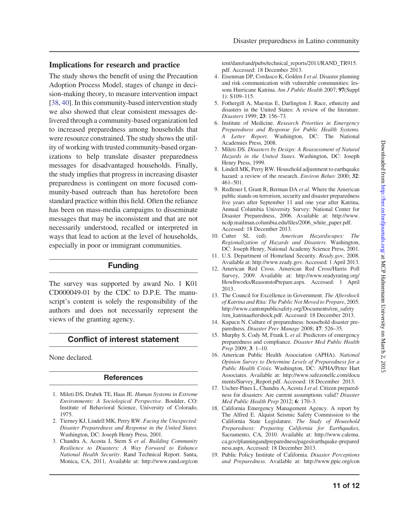#### <span id="page-10-0"></span>Implications for research and practice

The study shows the benefit of using the Precaution Adoption Process Model, stages of change in decision-making theory, to measure intervention impact [\[38,](#page-11-0) [40\]](#page-11-0). In this community-based intervention study we also showed that clear consistent messages delivered through a community-based organization led to increased preparedness among households that were resource constrained. The study shows the utility of working with trusted community-based organizations to help translate disaster preparedness messages for disadvantaged households. Finally, the study implies that progress in increasing disaster preparedness is contingent on more focused community-based outreach than has heretofore been standard practice within this field. Often the reliance has been on mass-media campaigns to disseminate messages that may be inconsistent and that are not necessarily understood, recalled or interpreted in ways that lead to action at the level of households, especially in poor or immigrant communities.

# Funding

The survey was supported by award No. 1 K01 CD000049-01 by the CDC to D.P.E. The manuscript's content is solely the responsibility of the authors and does not necessarily represent the views of the granting agency.

# Conflict of interest statement

None declared.

#### **References**

- 1. Mileti DS, Drabek TE, Haas JE. Human Systems in Extreme Environments: A Sociological Perspective. Boulder, CO: Institute of Behavioral Science, University of Colorado, 1975.
- 2. Tierney KJ, Lindell MK, Perry RW. Facing the Unexpected: Disaster Preparedness and Response in the United States. Washington, DC: Joseph Henry Press, 2001.
- 3. Chandra A, Acosta J, Stern S et al. Building Community Resilience to Disasters: A Way Forward to Enhance National Health Security. Rand Technical Report. Santa, Monica, CA, 2011, Available at: [http://www.rand.org/con](http://www.rand.org/content/dam/rand/pubs/technical_reports/2011/RAND_TR915.pdf)

[tent/dam/rand/pubs/technical\\_reports/2011/RAND\\_TR915.](http://www.rand.org/content/dam/rand/pubs/technical_reports/2011/RAND_TR915.pdf) [pdf](http://www.rand.org/content/dam/rand/pubs/technical_reports/2011/RAND_TR915.pdf). Accessed: 18 December 2013.

- 4. Eisenman DP, Cordasco K, Golden J et al. Disaster planning and risk communication with vulnerable communities: lessons Hurricane Katrina. Am J Public Health 2007; 97(Suppl 1): S109–115.
- 5. Fothergill A, Maestas E, Darlington J. Race, ethnicity and disasters in the United States: A review of the literature. Disasters 1999; 23: 156–73.
- 6. Institute of Medicine. Research Priorities in Emergency Preparedness and Response for Public Health Systems. A Letter Report. Washington, DC: The National Academies Press, 2008.
- 7. Mileti DS. Disasters by Design: A Reassessment of Natural Hazards in the United States. Washington, DC: Joseph Henry Press, 1999.
- 8. Lindell MK, Perry RW. Household adjustment to earthquake hazard: a review of the research. Environ Behav 2000; 32: 461–501.
- 9. Redlener I, Grant R, Berman DA et al. Where the American public stands on terrorism, security and disaster preparedness five years after September 11 and one year after Katrina, Annual Columbia University Survey: National Center for Disaster Preparedness, 2006. Available at: [http://www.](http://www.ncdp.mailman.columbia.edu/files/2006_white_paper.pdf) [ncdp.mailman.columbia.edu/files/2006\\_white\\_paper.pdf.](http://www.ncdp.mailman.columbia.edu/files/2006_white_paper.pdf) Accessed: 18 December 2013.<br>10. Cutter SL (ed). Amer
- American Hazardscapes: The Regionalization of Hazards and Disasters. Washington, DC: Joseph Henry, National Academy Science Press, 2001.
- 11. U.S. Department of Homeland Security. Ready.gov, 2008. Available at:<http://www.ready.gov>. Accessed: 1 April 2013.
- 12. American Red Cross. American Red Cross/Harris Poll Survey, 2009. Available at: [http://www.readyrating.org/](http://www.readyrating.org/HowItworks/ReasonstoPrepare.aspx) [HowItworks/ReasonstoPrepare.aspx](http://www.readyrating.org/HowItworks/ReasonstoPrepare.aspx). Accessed: 1 April 2013.
- 13. The Council for Excellence in Government. The Aftershock of Katrina and Rita: The Public Not Moved to Prepare, 2005. [http://www.cantonpublicsafety.org/Documents/em\\_safety](http://www.cantonpublicsafety.org/Documents/em_safety/em_katrinaaftershock.pdf) [/em\\_katrinaaftershock.pdf](http://www.cantonpublicsafety.org/Documents/em_safety/em_katrinaaftershock.pdf). Accessed: 18 December 2013.
- 14. Kapucu N. Culture of preparedness: household disaster preparedness. Disaster Prev Manage 2008; 17: 526–35.
- 15. Murphy S, Cody M, Frank L et al. Predictors of emergency preparedness and compliance. Disaster Med Public Health Prep 2009; 3: 1-10.
- 16. American Public Health Association (APHA). National Opinion Survey to Determine Levels of Preparedness for a Public Health Crisis. Washington, DC: APHA/Peter Hart Associates. Available at: [http://www.safezonellc.com/docu](http://www.safezonellc.com/documents/Survey_Report.pdf) [ments/Survey\\_Report.pdf](http://www.safezonellc.com/documents/Survey_Report.pdf). Accessed: 18 December 2013.
- 17. Uscher-Pines L, Chandra A, Acosta J et al. Citizen preparedness for disasters: Are current assumptions valid? Disaster Med Public Health Prep 2012; 6: 170–3.
- 18. California Emergency Management Agency. A report by The Alfred E. Alquist Seismic Safety Commission to the California State Legislature. The Study of Household Preparedness: Preparing California for Earthquakes, Sacramento, CA, 2010. Available at: [http://www.calema.](http://www.calema.ca.gov/planningandpreparedness/pages/earthquake-preparedness.aspx) [ca.gov/planningandpreparedness/pages/earthquake-prepared](http://www.calema.ca.gov/planningandpreparedness/pages/earthquake-preparedness.aspx) [ness.aspx](http://www.calema.ca.gov/planningandpreparedness/pages/earthquake-preparedness.aspx). Accessed: 18 December 2013.
- 19. Public Policy Institute of California. Disaster Perceptions and Preparedness. Available at: [http://www.ppic.org/con](http://www.ppic.org/content/pubs/jtf/JTF_DisasterPreparednessJTF.pdf)